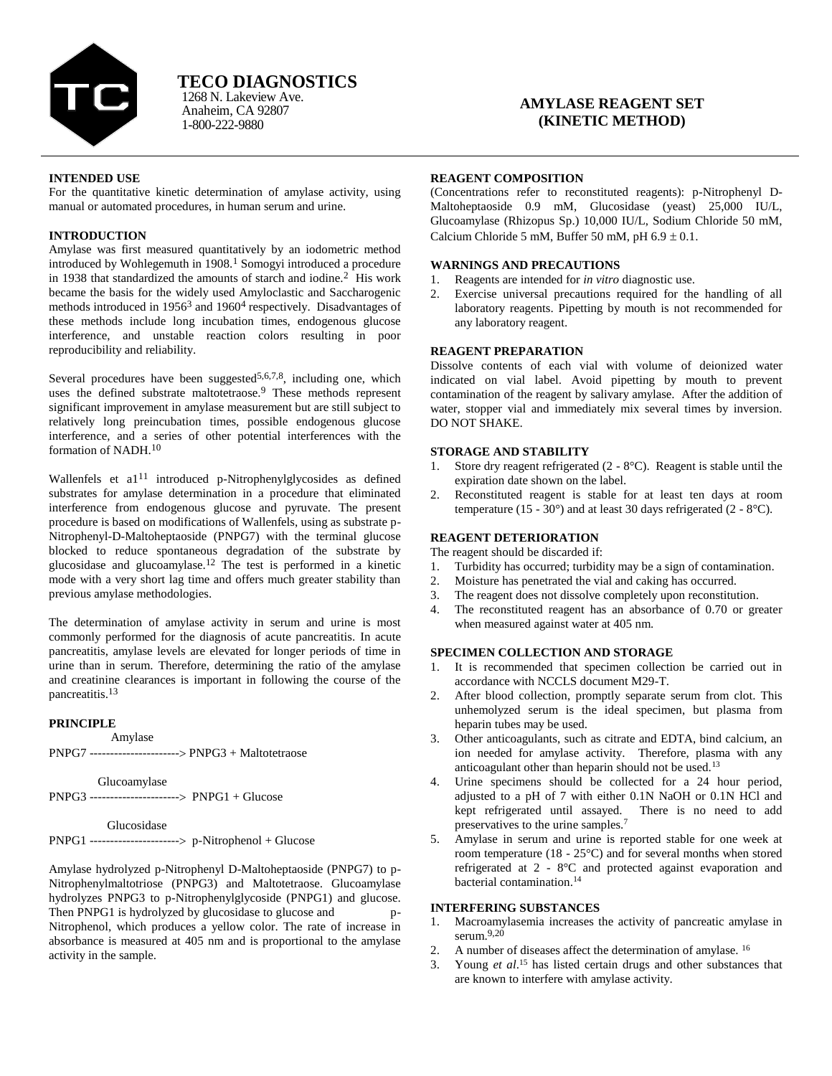

# **TECO DIAGNOSTICS**

Anaheim, CA 92807 1-800-222-9880 1268 N. Lakeview Ave.

## **AMYLASE REAGENT SET (KINETIC METHOD)**

### **INTENDED USE**

For the quantitative kinetic determination of amylase activity, using manual or automated procedures, in human serum and urine.

### **INTRODUCTION**

Amylase was first measured quantitatively by an iodometric method introduced by Wohlegemuth in 1908.<sup>1</sup> Somogyi introduced a procedure in 1938 that standardized the amounts of starch and iodine.<sup>2</sup> His work became the basis for the widely used Amyloclastic and Saccharogenic methods introduced in 1956<sup>3</sup> and 1960<sup>4</sup> respectively. Disadvantages of these methods include long incubation times, endogenous glucose interference, and unstable reaction colors resulting in poor reproducibility and reliability.

Several procedures have been suggested<sup>5,6,7,8</sup>, including one, which uses the defined substrate maltotetraose.<sup>9</sup> These methods represent significant improvement in amylase measurement but are still subject to relatively long preincubation times, possible endogenous glucose interference, and a series of other potential interferences with the formation of NADH.<sup>10</sup>

Wallenfels et al<sup>11</sup> introduced p-Nitrophenylglycosides as defined substrates for amylase determination in a procedure that eliminated interference from endogenous glucose and pyruvate. The present procedure is based on modifications of Wallenfels, using as substrate p-Nitrophenyl-D-Maltoheptaoside (PNPG7) with the terminal glucose blocked to reduce spontaneous degradation of the substrate by glucosidase and glucoamylase.<sup>12</sup> The test is performed in a kinetic mode with a very short lag time and offers much greater stability than previous amylase methodologies.

The determination of amylase activity in serum and urine is most commonly performed for the diagnosis of acute pancreatitis. In acute pancreatitis, amylase levels are elevated for longer periods of time in urine than in serum. Therefore, determining the ratio of the amylase and creatinine clearances is important in following the course of the pancreatitis.<sup>13</sup>

### **PRINCIPLE**

 Amylase PNPG7 ---------------------- PNPG3 + Maltotetraose

Glucoamylase PNPG3 ---------------------- PNPG1 + Glucose

#### Glucosidase

PNPG1 ---------------------- p-Nitrophenol + Glucose

Amylase hydrolyzed p-Nitrophenyl D-Maltoheptaoside (PNPG7) to p-Nitrophenylmaltotriose (PNPG3) and Maltotetraose. Glucoamylase hydrolyzes PNPG3 to p-Nitrophenylglycoside (PNPG1) and glucose. Then PNPG1 is hydrolyzed by glucosidase to glucose and p-Nitrophenol, which produces a yellow color. The rate of increase in absorbance is measured at 405 nm and is proportional to the amylase activity in the sample.

### **REAGENT COMPOSITION**

(Concentrations refer to reconstituted reagents): p-Nitrophenyl D-Maltoheptaoside 0.9 mM, Glucosidase (yeast) 25,000 IU/L, Glucoamylase (Rhizopus Sp.) 10,000 IU/L, Sodium Chloride 50 mM, Calcium Chloride 5 mM, Buffer 50 mM, pH  $6.9 \pm 0.1$ .

### **WARNINGS AND PRECAUTIONS**

- 1. Reagents are intended for *in vitro* diagnostic use.
- 2. Exercise universal precautions required for the handling of all laboratory reagents. Pipetting by mouth is not recommended for any laboratory reagent.

### **REAGENT PREPARATION**

Dissolve contents of each vial with volume of deionized water indicated on vial label. Avoid pipetting by mouth to prevent contamination of the reagent by salivary amylase. After the addition of water, stopper vial and immediately mix several times by inversion. DO NOT SHAKE.

### **STORAGE AND STABILITY**

- 1. Store dry reagent refrigerated (2 8°C). Reagent is stable until the expiration date shown on the label.
- 2. Reconstituted reagent is stable for at least ten days at room temperature (15 - 30 $^{\circ}$ ) and at least 30 days refrigerated (2 - 8 $^{\circ}$ C).

### **REAGENT DETERIORATION**

- The reagent should be discarded if:
- 1. Turbidity has occurred; turbidity may be a sign of contamination.
- 2. Moisture has penetrated the vial and caking has occurred.
- 3. The reagent does not dissolve completely upon reconstitution.
- 4. The reconstituted reagent has an absorbance of 0.70 or greater when measured against water at 405 nm.

#### **SPECIMEN COLLECTION AND STORAGE**

- 1. It is recommended that specimen collection be carried out in accordance with NCCLS document M29-T.
- 2. After blood collection, promptly separate serum from clot. This unhemolyzed serum is the ideal specimen, but plasma from heparin tubes may be used.
- 3. Other anticoagulants, such as citrate and EDTA, bind calcium, an ion needed for amylase activity. Therefore, plasma with any anticoagulant other than heparin should not be used.<sup>13</sup>
- 4. Urine specimens should be collected for a 24 hour period, adjusted to a pH of 7 with either 0.1N NaOH or 0.1N HCl and kept refrigerated until assayed. There is no need to add preservatives to the urine samples.<sup>7</sup>
- 5. Amylase in serum and urine is reported stable for one week at room temperature (18 - 25°C) and for several months when stored refrigerated at 2 - 8°C and protected against evaporation and bacterial contamination.<sup>14</sup>

### **INTERFERING SUBSTANCES**

- 1. Macroamylasemia increases the activity of pancreatic amylase in serum. $9,20$
- 2. A number of diseases affect the determination of amylase. <sup>16</sup>
- 3. Young *et al*. <sup>15</sup> has listed certain drugs and other substances that are known to interfere with amylase activity.